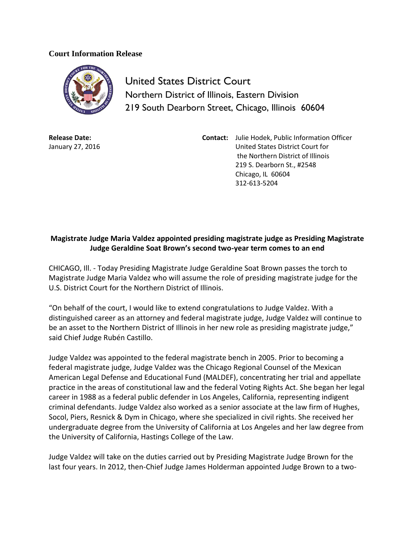## **Court Information Release**



United States District Court Northern District of Illinois, Eastern Division 219 South Dearborn Street, Chicago, Illinois 60604

**Release Date:** January 27, 2016 **Contact:** Julie Hodek, Public Information Officer United States District Court for the Northern District of Illinois 219 S. Dearborn St., #2548 Chicago, IL 60604 312-613-5204

## **Magistrate Judge Maria Valdez appointed presiding magistrate judge as Presiding Magistrate Judge Geraldine Soat Brown's second two-year term comes to an end**

CHICAGO, Ill. - Today Presiding Magistrate Judge Geraldine Soat Brown passes the torch to Magistrate Judge Maria Valdez who will assume the role of presiding magistrate judge for the U.S. District Court for the Northern District of Illinois.

"On behalf of the court, I would like to extend congratulations to Judge Valdez. With a distinguished career as an attorney and federal magistrate judge, Judge Valdez will continue to be an asset to the Northern District of Illinois in her new role as presiding magistrate judge," said Chief Judge Rubén Castillo.

Judge Valdez was appointed to the federal magistrate bench in 2005. Prior to becoming a federal magistrate judge, Judge Valdez was the Chicago Regional Counsel of the Mexican American Legal Defense and Educational Fund (MALDEF), concentrating her trial and appellate practice in the areas of constitutional law and the federal Voting Rights Act. She began her legal career in 1988 as a federal public defender in Los Angeles, California, representing indigent criminal defendants. Judge Valdez also worked as a senior associate at the law firm of Hughes, Socol, Piers, Resnick & Dym in Chicago, where she specialized in civil rights. She received her undergraduate degree from the University of California at Los Angeles and her law degree from the University of California, Hastings College of the Law.

Judge Valdez will take on the duties carried out by Presiding Magistrate Judge Brown for the last four years. In 2012, then-Chief Judge James Holderman appointed Judge Brown to a two